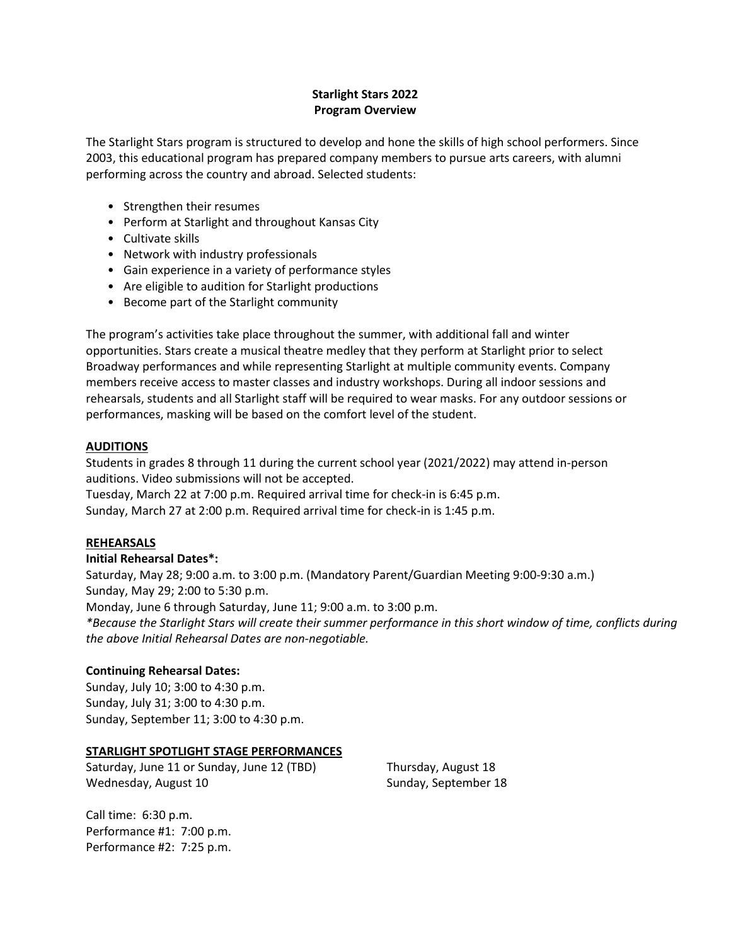# **Starlight Stars 2022 Program Overview**

The Starlight Stars program is structured to develop and hone the skills of high school performers. Since 2003, this educational program has prepared company members to pursue arts careers, with alumni performing across the country and abroad. Selected students:

- Strengthen their resumes
- Perform at Starlight and throughout Kansas City
- Cultivate skills
- Network with industry professionals
- Gain experience in a variety of performance styles
- Are eligible to audition for Starlight productions
- Become part of the Starlight community

The program's activities take place throughout the summer, with additional fall and winter opportunities. Stars create a musical theatre medley that they perform at Starlight prior to select Broadway performances and while representing Starlight at multiple community events. Company members receive access to master classes and industry workshops. During all indoor sessions and rehearsals, students and all Starlight staff will be required to wear masks. For any outdoor sessions or performances, masking will be based on the comfort level of the student.

# **AUDITIONS**

Students in grades 8 through 11 during the current school year (2021/2022) may attend in-person auditions. Video submissions will not be accepted.

Tuesday, March 22 at 7:00 p.m. Required arrival time for check-in is 6:45 p.m. Sunday, March 27 at 2:00 p.m. Required arrival time for check-in is 1:45 p.m.

# **REHEARSALS**

# **Initial Rehearsal Dates\*:**

Saturday, May 28; 9:00 a.m. to 3:00 p.m. (Mandatory Parent/Guardian Meeting 9:00-9:30 a.m.) Sunday, May 29; 2:00 to 5:30 p.m.

Monday, June 6 through Saturday, June 11; 9:00 a.m. to 3:00 p.m.

*\*Because the Starlight Stars will create their summer performance in this short window of time, conflicts during the above Initial Rehearsal Dates are non-negotiable.* 

# **Continuing Rehearsal Dates:**

Sunday, July 10; 3:00 to 4:30 p.m. Sunday, July 31; 3:00 to 4:30 p.m. Sunday, September 11; 3:00 to 4:30 p.m.

#### **STARLIGHT SPOTLIGHT STAGE PERFORMANCES**

Saturday, June 11 or Sunday, June 12 (TBD) Wednesday, August 10

Thursday, August 18 Sunday, September 18

Call time: 6:30 p.m. Performance #1: 7:00 p.m. Performance #2: 7:25 p.m.